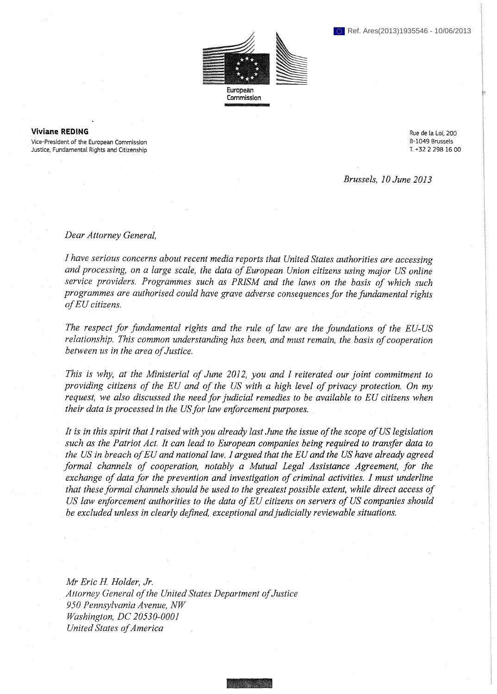

Commission

## Viviane REDING

Vice-President of the European Commission Justice, Fundamental Rights and Citizenship Rue de la Loi, 200 В-1049 Brussels T. +32 2 298 16 00

*Brussels, 10 June 2013* 

*Dear Attorney General,* 

*I have serious concerns about recent media reports that United States authorities are accessing and processing, on a large scale, the data of European Union citizens using major US online service providers. Programmes such as PRISM and the laws on the basis of which such programmes are authorised could have grave adverse consequences for the fundamental rights of EU citizens.* 

*The respect for fundamental rights and the rule of law are the foundations of the EU-US relationship. This common understanding has been, and must remain, the basis of cooperation between us in the area of Justice.* 

*This is why, at the Ministerial of June 2012, you and I reiterated our joint commitment to providing citizens of the EU and of the US with a high level of privacy protection. On my request, we also discussed the need for judicial remedies to be available to EU citizens when their data is processed in the US for law enforcement purposes.* 

*It is in this spirit that I raised with you already last June the issue of the scope of US legislation such as the Patriot Act. It can lead to European companies being required to transfer data to the US in breach of EU and national law. I argued that the EU and the US have already agreed formal channels of cooperation, notably a Mutual Legal Assistance Agreement, for the exchange of data for the prevention and investigation of criminal activities. I must underline that these formal channels should be used to the greatest possible extent, while direct access of US law enforcement authorities to the data of EU citizens on servers of US companies should be excluded unless in clearly defined, exceptional and judicially reviewable situations.* 

*Mr Eric H. Holder, Jr. Attorney General of the United States Department of Justice 950 Pennsylvania Avenue, NW Washington, DC 20530-0001 United States of America ,*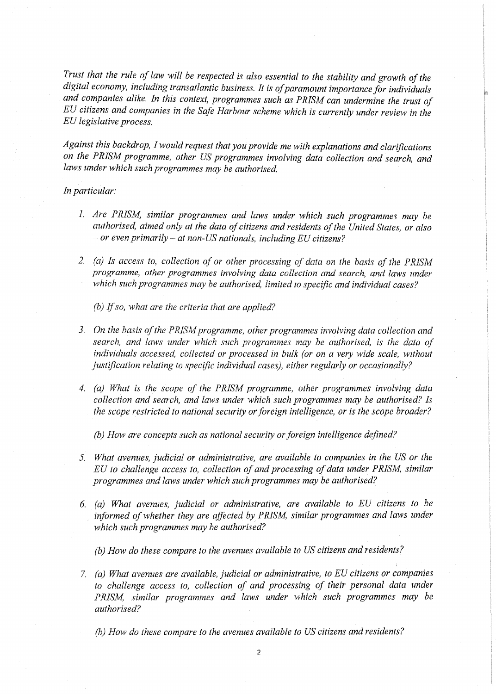*Trust that the rule of law will be respected is also essential to the stability and growth of the digital economy, including transatlantic business. It is of paramount importance for individuals and companies alike. In this context, programmes such as PRISM can undermine the trust of EU citizens and companies in the Safe Harbour scheme which is currently under review in the EU legislative process.* 

*Against this backdrop, I would request that you provide me with explanations and clarifications on the PRISM programme, other US programmes involving data collection and search, and laws under which such programmes may be authorised.* 

## *In particular:*

- *1. Are PRISM, similar programmes and laws under which such programmes may be authorised, aimed only at the data of citizens and residents of the United States, or also - or even primarily - at non-US nationals, including EU citizens?*
- *2. (a) Is access to, collection of or other processing of data on the basis of the PRISM programme, other programmes involving data collection and search, and laws under which such programmes may be authorised, limited to specific and individual cases?*

*(b) If so, what are the criteria that are applied?* 

- *3. On the basis of the PRISM programme, other programmes involving data collection and search, and laws under which such programmes may be authorised, is the data of individuals accessed, collected or processed in bulk (or on a very wide scale, without justification relating to specific individual cases), either regularly or occasionally?*
- *4. (a) What is the scope of the PRISM programme, other programmes involving data collection and search, and laws under which such programmes may be authorised? Is the scope restricted to national security or foreign intelligence, or is the scope broader?*

*(b) How are concepts such as national security or foreign intelligence defined?* 

- *5. What avenues, judicial or administrative, are available to companies in the US or the EU to challenge access to, collection of and processing of data under PRISM, similar programmes and laws under which such programmes may be authorised?*
- *6. (a) What avenues, judicial or administrative, are available to EU citizens to be*  informed of whether they are affected by PRISM, similar programmes and laws under *which such programmes may be authorised?* 
	- *(b) How do these compare to the avenues available to US citizens and residents?*
- 7. *(a) What avenues are available, judicial or administrative, to EU citizens or companies*  to challenge access to, collection of and processing of their personal data under *PRISM, similar programmes and laws under which such programmes may be authorised?*

*(b) How do these compare to the avenues available to US citizens and residents?*